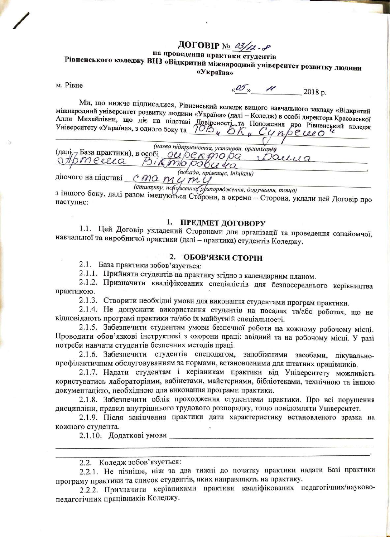# ДОГОВІР № 03/12-8

## на проведення практики студентів Рівненського коледжу ВНЗ «Відкритий міжнародний університет розвитку людини

«Україна»

м. Рівне

 $\frac{1}{4}$   $\frac{2018 \text{ p}}{2018 \text{ p}}$ .

Ми, що нижче підписалися, Рівненський коледж вищого навчального закладу «Відкритий міжнародний університет розвитку людини «Україна» (далі - Коледж) в особі директора Красовської Алли Михайлівни, що діє на підставі Довіреності та Положення про Рівненський коледж<br>Університету «Україна», з одного боку та 102 и 5 К и СУ пресле Село

(назва підприємства, устанрви, організаній  $\frac{1}{\frac{1}{\sqrt{10}}\pi\epsilon}$  Basa практики), в особі <u>дерекопо ра</u> Saucea

діючого на підставі статуту, попоресення (рузпорядження, доручення, тощо) з іншого боку, далі разом іменуються Сторони, а окремо - Сторона, уклали цей Договір про наступне:

#### 1. ПРЕДМЕТ ДОГОВОРУ

1.1. Цей Договір укладений Сторонами для організації та проведення ознайомчої, навчальної та виробничої практики (далі - практика) студентів Коледжу.

### 2. ОБОВ'ЯЗКИ СТОРІН

2.1. База практики зобов'язується:

2.1.1. Прийняти студентів на практику згідно з календарним планом.

2.1.2. Призначити кваліфікованих спеціалістів для безпосереднього керівництва практикою.

2.1.3. Створити необхідні умови для виконання студентами програм практики.

2.1.4. Не допускати використання студентів на посадах та/або роботах, що не відповідають програмі практики та/або їх майбутній спеціальності.

2.1.5. Забезпечити студентам умови безпечної роботи на кожному робочому місці. Проводити обов'язкові інструктажі з охорони праці: ввідний та на робочому місці. У разі потреби навчати студентів безпечних методів праці.

2.1.6. Забезпечити студентів спецодягом, запобіжними засобами, лікувальнопрофілактичним обслуговуванням за нормами, встановленими для штатних працівників.

2.1.7. Надати студентам і керівникам практики від Університету можливість користуватись лабораторіями, кабінетами, майстернями, бібліотеками, технічною та іншою документацією, необхідною для виконання програми практики.

2.1.8. Забезпечити облік проходження студентами практики. Про всі порушення дисципліни, правил внутрішнього трудового розпорядку, тощо повідомляти Університет.

2.1.9. Після закінчення практики дати характеристику встановленого зразка на кожного студента.

2.1.10. Додаткові умови повестання по поведення по поведення по поведення по поведення по поведення по

2.2.1. Не пізніше, ніж за два тижні до початку практики надати Базі практики програму практики та список студентів, яких направляють на практику.

2.2.2. Призначити керівниками практики кваліфікованих педагогічних/науковопедагогічних працівників Коледжу.

<sup>2.2.</sup> Коледж зобов'язується: